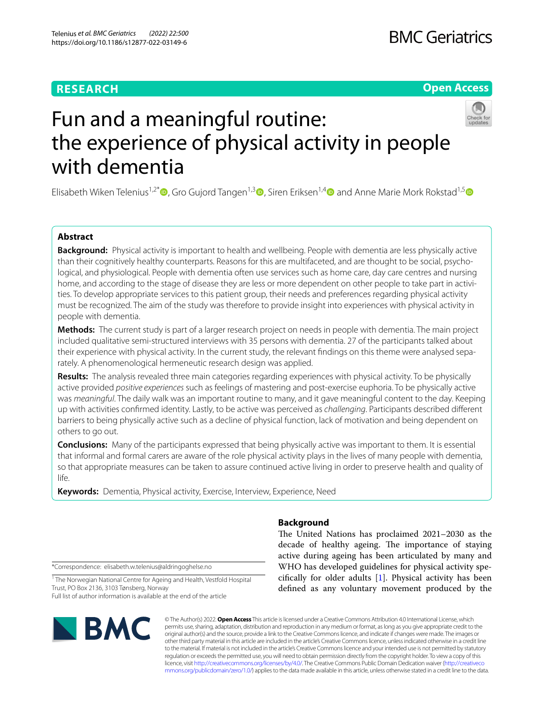## **RESEARCH**

## **BMC Geriatrics**

## **Open Access**



# Fun and a meaningful routine: the experience of physical activity in people with dementia

Elisabeth Wiken Telenius<sup>1,2[\\*](http://orcid.org/0000-0003-2183-367X)</sup>  $\Phi$ , Gro Gujord Tangen<sup>1,[3](http://orcid.org/0000-0002-9417-2799)</sup>  $\Phi$ , Siren Eriksen<sup>1,4</sup>  $\Phi$  and Anne Marie Mork Rokstad<sup>1,5</sup>  $\Phi$ 

## **Abstract**

**Background:** Physical activity is important to health and wellbeing. People with dementia are less physically active than their cognitively healthy counterparts. Reasons for this are multifaceted, and are thought to be social, psychological, and physiological. People with dementia often use services such as home care, day care centres and nursing home, and according to the stage of disease they are less or more dependent on other people to take part in activities. To develop appropriate services to this patient group, their needs and preferences regarding physical activity must be recognized. The aim of the study was therefore to provide insight into experiences with physical activity in people with dementia.

**Methods:** The current study is part of a larger research project on needs in people with dementia. The main project included qualitative semi-structured interviews with 35 persons with dementia. 27 of the participants talked about their experience with physical activity. In the current study, the relevant fndings on this theme were analysed separately. A phenomenological hermeneutic research design was applied.

**Results:** The analysis revealed three main categories regarding experiences with physical activity. To be physically active provided *positive experiences* such as feelings of mastering and post-exercise euphoria. To be physically active was *meaningful*. The daily walk was an important routine to many, and it gave meaningful content to the day. Keeping up with activities confrmed identity. Lastly, to be active was perceived as *challenging*. Participants described diferent barriers to being physically active such as a decline of physical function, lack of motivation and being dependent on others to go out.

**Conclusions:** Many of the participants expressed that being physically active was important to them. It is essential that informal and formal carers are aware of the role physical activity plays in the lives of many people with dementia, so that appropriate measures can be taken to assure continued active living in order to preserve health and quality of life.

**Keywords:** Dementia, Physical activity, Exercise, Interview, Experience, Need

## **Background**

The United Nations has proclaimed 2021–2030 as the decade of healthy ageing. The importance of staying active during ageing has been articulated by many and WHO has developed guidelines for physical activity specifcally for older adults [\[1](#page-8-0)]. Physical activity has been defned as any voluntary movement produced by the

\*Correspondence: elisabeth.w.telenius@aldringoghelse.no

<sup>1</sup> The Norwegian National Centre for Ageing and Health, Vestfold Hospital Trust, PO Box 2136, 3103 Tønsberg, Norway Full list of author information is available at the end of the article



© The Author(s) 2022. **Open Access** This article is licensed under a Creative Commons Attribution 4.0 International License, which permits use, sharing, adaptation, distribution and reproduction in any medium or format, as long as you give appropriate credit to the original author(s) and the source, provide a link to the Creative Commons licence, and indicate if changes were made. The images or other third party material in this article are included in the article's Creative Commons licence, unless indicated otherwise in a credit line to the material. If material is not included in the article's Creative Commons licence and your intended use is not permitted by statutory regulation or exceeds the permitted use, you will need to obtain permission directly from the copyright holder. To view a copy of this licence, visit [http://creativecommons.org/licenses/by/4.0/.](http://creativecommons.org/licenses/by/4.0/) The Creative Commons Public Domain Dedication waiver ([http://creativeco](http://creativecommons.org/publicdomain/zero/1.0/) [mmons.org/publicdomain/zero/1.0/](http://creativecommons.org/publicdomain/zero/1.0/)) applies to the data made available in this article, unless otherwise stated in a credit line to the data.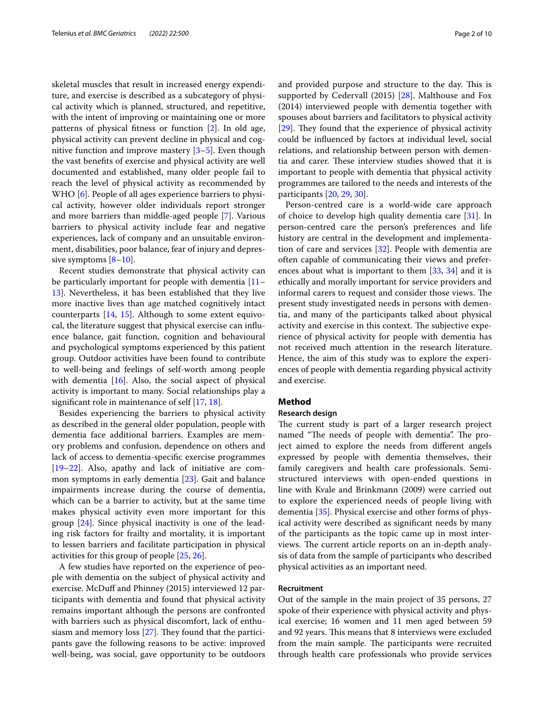skeletal muscles that result in increased energy expenditure, and exercise is described as a subcategory of physical activity which is planned, structured, and repetitive, with the intent of improving or maintaining one or more patterns of physical ftness or function [[2\]](#page-8-1). In old age, physical activity can prevent decline in physical and cognitive function and improve mastery  $[3-5]$  $[3-5]$ . Even though the vast benefts of exercise and physical activity are well documented and established, many older people fail to reach the level of physical activity as recommended by WHO [[6\]](#page-8-4). People of all ages experience barriers to physical activity, however older individuals report stronger and more barriers than middle-aged people [[7](#page-8-5)]. Various barriers to physical activity include fear and negative experiences, lack of company and an unsuitable environment, disabilities, poor balance, fear of injury and depressive symptoms  $[8-10]$  $[8-10]$ .

Recent studies demonstrate that physical activity can be particularly important for people with dementia [[11–](#page-8-8) [13\]](#page-8-9). Nevertheless, it has been established that they live more inactive lives than age matched cognitively intact counterparts [\[14,](#page-8-10) [15\]](#page-8-11). Although to some extent equivocal, the literature suggest that physical exercise can infuence balance, gait function, cognition and behavioural and psychological symptoms experienced by this patient group. Outdoor activities have been found to contribute to well-being and feelings of self-worth among people with dementia  $[16]$  $[16]$ . Also, the social aspect of physical activity is important to many. Social relationships play a signifcant role in maintenance of self [\[17](#page-8-13), [18\]](#page-8-14).

Besides experiencing the barriers to physical activity as described in the general older population, people with dementia face additional barriers. Examples are memory problems and confusion, dependence on others and lack of access to dementia-specifc exercise programmes [[19–](#page-8-15)[22](#page-8-16)]. Also, apathy and lack of initiative are common symptoms in early dementia [\[23](#page-8-17)]. Gait and balance impairments increase during the course of dementia, which can be a barrier to activity, but at the same time makes physical activity even more important for this group [\[24\]](#page-8-18). Since physical inactivity is one of the leading risk factors for frailty and mortality, it is important to lessen barriers and facilitate participation in physical activities for this group of people [[25](#page-8-19), [26\]](#page-8-20).

A few studies have reported on the experience of people with dementia on the subject of physical activity and exercise. McDuff and Phinney (2015) interviewed 12 participants with dementia and found that physical activity remains important although the persons are confronted with barriers such as physical discomfort, lack of enthusiasm and memory loss  $[27]$  $[27]$  $[27]$ . They found that the participants gave the following reasons to be active: improved well-being, was social, gave opportunity to be outdoors and provided purpose and structure to the day. This is supported by Cedervall (2015) [\[28](#page-8-22)]. Malthouse and Fox (2014) interviewed people with dementia together with spouses about barriers and facilitators to physical activity [[29\]](#page-8-23). They found that the experience of physical activity could be infuenced by factors at individual level, social relations, and relationship between person with dementia and carer. These interview studies showed that it is important to people with dementia that physical activity programmes are tailored to the needs and interests of the participants [\[20](#page-8-24), [29](#page-8-23), [30\]](#page-8-25).

Person-centred care is a world-wide care approach of choice to develop high quality dementia care [\[31](#page-8-26)]. In person-centred care the person's preferences and life history are central in the development and implementation of care and services [[32\]](#page-8-27). People with dementia are often capable of communicating their views and preferences about what is important to them [\[33](#page-8-28), [34](#page-8-29)] and it is ethically and morally important for service providers and informal carers to request and consider those views. The present study investigated needs in persons with dementia, and many of the participants talked about physical activity and exercise in this context. The subjective experience of physical activity for people with dementia has not received much attention in the research literature. Hence, the aim of this study was to explore the experiences of people with dementia regarding physical activity and exercise.

#### **Method**

#### **Research design**

The current study is part of a larger research project named "The needs of people with dementia". The project aimed to explore the needs from diferent angels expressed by people with dementia themselves, their family caregivers and health care professionals. Semistructured interviews with open-ended questions in line with Kvale and Brinkmann (2009) were carried out to explore the experienced needs of people living with dementia [[35](#page-8-30)]. Physical exercise and other forms of physical activity were described as signifcant needs by many of the participants as the topic came up in most interviews. The current article reports on an in-depth analysis of data from the sample of participants who described physical activities as an important need.

#### **Recruitment**

Out of the sample in the main project of 35 persons, 27 spoke of their experience with physical activity and physical exercise; 16 women and 11 men aged between 59 and 92 years. This means that 8 interviews were excluded from the main sample. The participants were recruited through health care professionals who provide services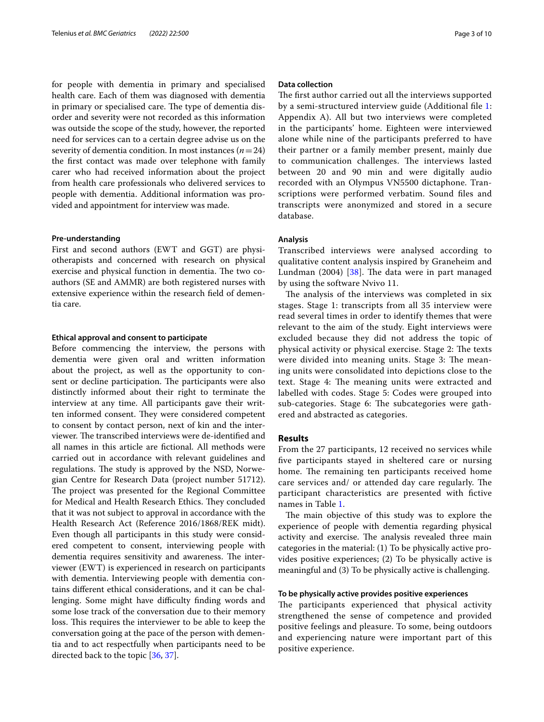for people with dementia in primary and specialised health care. Each of them was diagnosed with dementia in primary or specialised care. The type of dementia disorder and severity were not recorded as this information was outside the scope of the study, however, the reported need for services can to a certain degree advise us on the severity of dementia condition. In most instances (*n*=24) the frst contact was made over telephone with family carer who had received information about the project from health care professionals who delivered services to people with dementia. Additional information was provided and appointment for interview was made.

#### **Pre‑understanding**

First and second authors (EWT and GGT) are physiotherapists and concerned with research on physical exercise and physical function in dementia. The two coauthors (SE and AMMR) are both registered nurses with extensive experience within the research feld of dementia care.

#### **Ethical approval and consent to participate**

Before commencing the interview, the persons with dementia were given oral and written information about the project, as well as the opportunity to consent or decline participation. The participants were also distinctly informed about their right to terminate the interview at any time. All participants gave their written informed consent. They were considered competent to consent by contact person, next of kin and the interviewer. The transcribed interviews were de-identified and all names in this article are fctional. All methods were carried out in accordance with relevant guidelines and regulations. The study is approved by the NSD, Norwegian Centre for Research Data (project number 51712). The project was presented for the Regional Committee for Medical and Health Research Ethics. They concluded that it was not subject to approval in accordance with the Health Research Act (Reference 2016/1868/REK midt). Even though all participants in this study were considered competent to consent, interviewing people with dementia requires sensitivity and awareness. The interviewer (EWT) is experienced in research on participants with dementia. Interviewing people with dementia contains diferent ethical considerations, and it can be challenging. Some might have difficulty finding words and some lose track of the conversation due to their memory loss. This requires the interviewer to be able to keep the conversation going at the pace of the person with dementia and to act respectfully when participants need to be directed back to the topic [\[36](#page-8-31), [37](#page-8-32)].

#### **Data collection**

The first author carried out all the interviews supported by a semi-structured interview guide (Additional fle [1](#page-7-0): Appendix A). All but two interviews were completed in the participants' home. Eighteen were interviewed alone while nine of the participants preferred to have their partner or a family member present, mainly due to communication challenges. The interviews lasted between 20 and 90 min and were digitally audio recorded with an Olympus VN5500 dictaphone. Transcriptions were performed verbatim. Sound fles and transcripts were anonymized and stored in a secure database.

#### **Analysis**

Transcribed interviews were analysed according to qualitative content analysis inspired by Graneheim and Lundman  $(2004)$   $[38]$  $[38]$  $[38]$ . The data were in part managed by using the software Nvivo 11.

The analysis of the interviews was completed in six stages. Stage 1: transcripts from all 35 interview were read several times in order to identify themes that were relevant to the aim of the study. Eight interviews were excluded because they did not address the topic of physical activity or physical exercise. Stage 2: The texts were divided into meaning units. Stage 3: The meaning units were consolidated into depictions close to the text. Stage 4: The meaning units were extracted and labelled with codes. Stage 5: Codes were grouped into sub-categories. Stage 6: The subcategories were gathered and abstracted as categories.

#### **Results**

From the 27 participants, 12 received no services while fve participants stayed in sheltered care or nursing home. The remaining ten participants received home care services and/ or attended day care regularly. The participant characteristics are presented with fictive names in Table [1](#page-3-0).

The main objective of this study was to explore the experience of people with dementia regarding physical activity and exercise. The analysis revealed three main categories in the material: (1) To be physically active provides positive experiences; (2) To be physically active is meaningful and (3) To be physically active is challenging.

#### **To be physically active provides positive experiences**

The participants experienced that physical activity strengthened the sense of competence and provided positive feelings and pleasure. To some, being outdoors and experiencing nature were important part of this positive experience.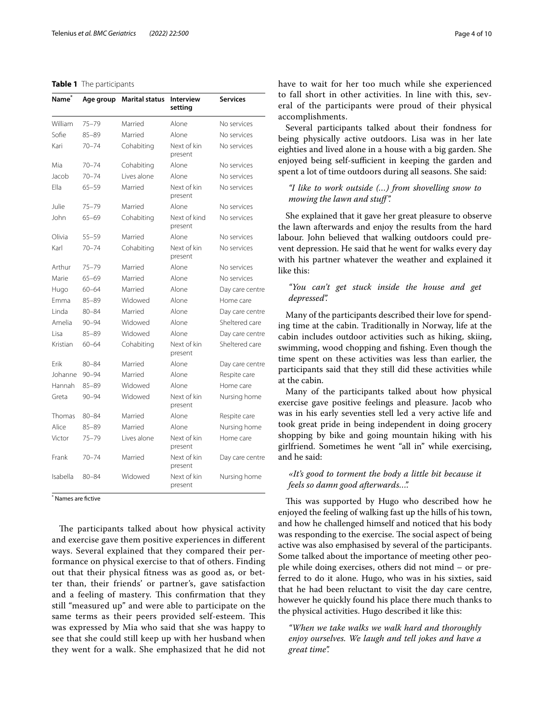#### <span id="page-3-0"></span>**Table 1** The participants

| Name <sup>*</sup> | Age group | <b>Marital status</b> | <b>Interview</b><br>setting | <b>Services</b> |
|-------------------|-----------|-----------------------|-----------------------------|-----------------|
| William           | $75 - 79$ | Married               | Alone                       | No services     |
| Sofie             | $85 - 89$ | Married               | Alone                       | No services     |
| Kari              | $70 - 74$ | Cohabiting            | Next of kin<br>present      | No services     |
| Mia               | 70-74     | Cohabiting            | Alone                       | No services     |
| Jacob             | $70 - 74$ | Lives alone           | Alone                       | No services     |
| Ella              | $65 - 59$ | Married               | Next of kin<br>present      | No services     |
| Julie             | 75–79     | Married               | Alone                       | No services     |
| John              | 65-69     | Cohabiting            | Next of kind<br>present     | No services     |
| Olivia            | 55–59     | Married               | Alone                       | No services     |
| Karl              | $70 - 74$ | Cohabiting            | Next of kin<br>present      | No services     |
| Arthur            | $75 - 79$ | Married               | Alone                       | No services     |
| Marie             | $65 - 69$ | Married               | Alone                       | No services     |
| Hugo              | $60 - 64$ | Married               | Alone                       | Day care centre |
| <b>Emma</b>       | $85 - 89$ | Widowed               | Alone                       | Home care       |
| Linda             | $80 - 84$ | Married               | Alone                       | Day care centre |
| Amelia            | $90 - 94$ | Widowed               | Alone                       | Sheltered care  |
| Lisa              | $85 - 89$ | Widowed               | Alone                       | Day care centre |
| Kristian          | $60 - 64$ | Cohabiting            | Next of kin<br>present      | Sheltered care  |
| Frik              | $80 - 84$ | Married               | Alone                       | Day care centre |
| Johanne           | $90 - 94$ | Married               | Alone                       | Respite care    |
| Hannah            | $85 - 89$ | Widowed               | Alone                       | Home care       |
| Greta             | $90 - 94$ | Widowed               | Next of kin<br>present      | Nursing home    |
| Thomas            | $80 - 84$ | Married               | Alone                       | Respite care    |
| Alice             | $85 - 89$ | Married               | Alone                       | Nursing home    |
| Victor            | $75 - 79$ | Lives alone           | Next of kin<br>present      | Home care       |
| Frank             | $70 - 74$ | Married               | Next of kin<br>present      | Day care centre |
| Isabella          | $80 - 84$ | Widowed               | Next of kin<br>present      | Nursing home    |

\* Names are fctive

The participants talked about how physical activity and exercise gave them positive experiences in diferent ways. Several explained that they compared their performance on physical exercise to that of others. Finding out that their physical ftness was as good as, or better than, their friends' or partner's, gave satisfaction and a feeling of mastery. This confirmation that they still "measured up" and were able to participate on the same terms as their peers provided self-esteem. This was expressed by Mia who said that she was happy to see that she could still keep up with her husband when they went for a walk. She emphasized that he did not have to wait for her too much while she experienced to fall short in other activities. In line with this, several of the participants were proud of their physical accomplishments.

Several participants talked about their fondness for being physically active outdoors. Lisa was in her late eighties and lived alone in a house with a big garden. She enjoyed being self-sufficient in keeping the garden and spent a lot of time outdoors during all seasons. She said:

## *"I like to work outside (…) from shovelling snow to mowing the lawn and stuf".*

She explained that it gave her great pleasure to observe the lawn afterwards and enjoy the results from the hard labour. John believed that walking outdoors could prevent depression. He said that he went for walks every day with his partner whatever the weather and explained it like this:

### *"You can't get stuck inside the house and get depressed".*

Many of the participants described their love for spending time at the cabin. Traditionally in Norway, life at the cabin includes outdoor activities such as hiking, skiing, swimming, wood chopping and fshing. Even though the time spent on these activities was less than earlier, the participants said that they still did these activities while at the cabin.

Many of the participants talked about how physical exercise gave positive feelings and pleasure. Jacob who was in his early seventies stell led a very active life and took great pride in being independent in doing grocery shopping by bike and going mountain hiking with his girlfriend. Sometimes he went "all in" while exercising, and he said:

#### *«It's good to torment the body a little bit because it feels so damn good afterwards…".*

This was supported by Hugo who described how he enjoyed the feeling of walking fast up the hills of his town, and how he challenged himself and noticed that his body was responding to the exercise. The social aspect of being active was also emphasised by several of the participants. Some talked about the importance of meeting other people while doing exercises, others did not mind – or preferred to do it alone. Hugo, who was in his sixties, said that he had been reluctant to visit the day care centre, however he quickly found his place there much thanks to the physical activities. Hugo described it like this:

*"When we take walks we walk hard and thoroughly enjoy ourselves. We laugh and tell jokes and have a great time".*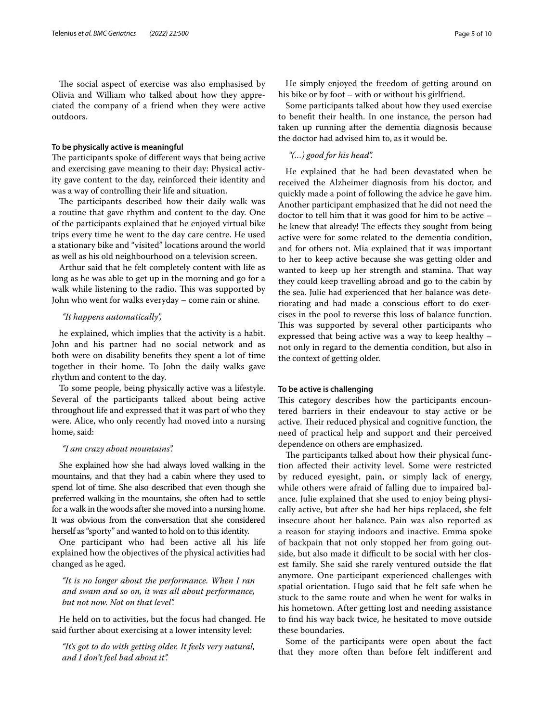The social aspect of exercise was also emphasised by Olivia and William who talked about how they appreciated the company of a friend when they were active outdoors.

#### **To be physically active is meaningful**

The participants spoke of different ways that being active and exercising gave meaning to their day: Physical activity gave content to the day, reinforced their identity and was a way of controlling their life and situation.

The participants described how their daily walk was a routine that gave rhythm and content to the day. One of the participants explained that he enjoyed virtual bike trips every time he went to the day care centre. He used a stationary bike and "visited" locations around the world as well as his old neighbourhood on a television screen.

Arthur said that he felt completely content with life as long as he was able to get up in the morning and go for a walk while listening to the radio. This was supported by John who went for walks everyday – come rain or shine.

#### *"It happens automatically",*

he explained, which implies that the activity is a habit. John and his partner had no social network and as both were on disability benefts they spent a lot of time together in their home. To John the daily walks gave rhythm and content to the day.

To some people, being physically active was a lifestyle. Several of the participants talked about being active throughout life and expressed that it was part of who they were. Alice, who only recently had moved into a nursing home, said:

#### *"I am crazy about mountains".*

She explained how she had always loved walking in the mountains, and that they had a cabin where they used to spend lot of time. She also described that even though she preferred walking in the mountains, she often had to settle for a walk in the woods after she moved into a nursing home. It was obvious from the conversation that she considered herself as "sporty" and wanted to hold on to this identity.

One participant who had been active all his life explained how the objectives of the physical activities had changed as he aged.

*"It is no longer about the performance. When I ran and swam and so on, it was all about performance, but not now. Not on that level".*

He held on to activities, but the focus had changed. He said further about exercising at a lower intensity level:

*"It's got to do with getting older. It feels very natural, and I don't feel bad about it".*

He simply enjoyed the freedom of getting around on his bike or by foot – with or without his girlfriend.

Some participants talked about how they used exercise to beneft their health. In one instance, the person had taken up running after the dementia diagnosis because the doctor had advised him to, as it would be.

#### *"(…) good for his head".*

He explained that he had been devastated when he received the Alzheimer diagnosis from his doctor, and quickly made a point of following the advice he gave him. Another participant emphasized that he did not need the doctor to tell him that it was good for him to be active – he knew that already! The effects they sought from being active were for some related to the dementia condition, and for others not. Mia explained that it was important to her to keep active because she was getting older and wanted to keep up her strength and stamina. That way they could keep travelling abroad and go to the cabin by the sea. Julie had experienced that her balance was deteriorating and had made a conscious efort to do exercises in the pool to reverse this loss of balance function. This was supported by several other participants who expressed that being active was a way to keep healthy – not only in regard to the dementia condition, but also in the context of getting older.

#### **To be active is challenging**

This category describes how the participants encountered barriers in their endeavour to stay active or be active. Their reduced physical and cognitive function, the need of practical help and support and their perceived dependence on others are emphasized.

The participants talked about how their physical function afected their activity level. Some were restricted by reduced eyesight, pain, or simply lack of energy, while others were afraid of falling due to impaired balance. Julie explained that she used to enjoy being physically active, but after she had her hips replaced, she felt insecure about her balance. Pain was also reported as a reason for staying indoors and inactive. Emma spoke of backpain that not only stopped her from going outside, but also made it difficult to be social with her closest family. She said she rarely ventured outside the fat anymore. One participant experienced challenges with spatial orientation. Hugo said that he felt safe when he stuck to the same route and when he went for walks in his hometown. After getting lost and needing assistance to fnd his way back twice, he hesitated to move outside these boundaries.

Some of the participants were open about the fact that they more often than before felt indiferent and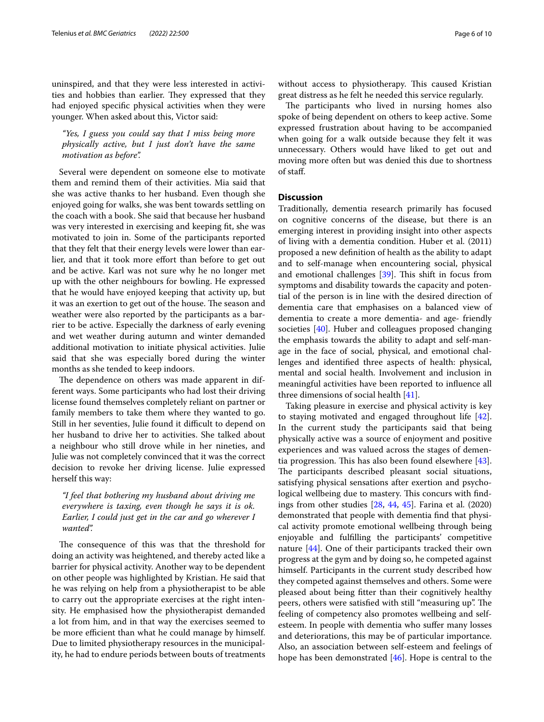uninspired, and that they were less interested in activities and hobbies than earlier. They expressed that they had enjoyed specifc physical activities when they were younger. When asked about this, Victor said:

*"Yes, I guess you could say that I miss being more physically active, but I just don't have the same motivation as before".*

Several were dependent on someone else to motivate them and remind them of their activities. Mia said that she was active thanks to her husband. Even though she enjoyed going for walks, she was bent towards settling on the coach with a book. She said that because her husband was very interested in exercising and keeping ft, she was motivated to join in. Some of the participants reported that they felt that their energy levels were lower than earlier, and that it took more efort than before to get out and be active. Karl was not sure why he no longer met up with the other neighbours for bowling. He expressed that he would have enjoyed keeping that activity up, but it was an exertion to get out of the house. The season and weather were also reported by the participants as a barrier to be active. Especially the darkness of early evening and wet weather during autumn and winter demanded additional motivation to initiate physical activities. Julie said that she was especially bored during the winter months as she tended to keep indoors.

The dependence on others was made apparent in different ways. Some participants who had lost their driving license found themselves completely reliant on partner or family members to take them where they wanted to go. Still in her seventies, Julie found it difficult to depend on her husband to drive her to activities. She talked about a neighbour who still drove while in her nineties, and Julie was not completely convinced that it was the correct decision to revoke her driving license. Julie expressed herself this way:

*"I feel that bothering my husband about driving me everywhere is taxing, even though he says it is ok. Earlier, I could just get in the car and go wherever I wanted".*

The consequence of this was that the threshold for doing an activity was heightened, and thereby acted like a barrier for physical activity. Another way to be dependent on other people was highlighted by Kristian. He said that he was relying on help from a physiotherapist to be able to carry out the appropriate exercises at the right intensity. He emphasised how the physiotherapist demanded a lot from him, and in that way the exercises seemed to be more efficient than what he could manage by himself. Due to limited physiotherapy resources in the municipality, he had to endure periods between bouts of treatments without access to physiotherapy. This caused Kristian great distress as he felt he needed this service regularly.

The participants who lived in nursing homes also spoke of being dependent on others to keep active. Some expressed frustration about having to be accompanied when going for a walk outside because they felt it was unnecessary. Others would have liked to get out and moving more often but was denied this due to shortness of staf.

#### **Discussion**

Traditionally, dementia research primarily has focused on cognitive concerns of the disease, but there is an emerging interest in providing insight into other aspects of living with a dementia condition. Huber et al. (2011) proposed a new defnition of health as the ability to adapt and to self-manage when encountering social, physical and emotional challenges  $[39]$  $[39]$ . This shift in focus from symptoms and disability towards the capacity and potential of the person is in line with the desired direction of dementia care that emphasises on a balanced view of dementia to create a more dementia- and age- friendly societies [\[40](#page-8-35)]. Huber and colleagues proposed changing the emphasis towards the ability to adapt and self-manage in the face of social, physical, and emotional challenges and identifed three aspects of health: physical, mental and social health. Involvement and inclusion in meaningful activities have been reported to infuence all three dimensions of social health [[41](#page-8-36)].

Taking pleasure in exercise and physical activity is key to staying motivated and engaged throughout life [\[42](#page-9-0)]. In the current study the participants said that being physically active was a source of enjoyment and positive experiences and was valued across the stages of dementia progression. This has also been found elsewhere  $[43]$  $[43]$ . The participants described pleasant social situations, satisfying physical sensations after exertion and psychological wellbeing due to mastery. This concurs with findings from other studies  $[28, 44, 45]$  $[28, 44, 45]$  $[28, 44, 45]$  $[28, 44, 45]$  $[28, 44, 45]$  $[28, 44, 45]$ . Farina et al.  $(2020)$ demonstrated that people with dementia fnd that physical activity promote emotional wellbeing through being enjoyable and fulflling the participants' competitive nature [[44\]](#page-9-2). One of their participants tracked their own progress at the gym and by doing so, he competed against himself. Participants in the current study described how they competed against themselves and others. Some were pleased about being ftter than their cognitively healthy peers, others were satisfied with still "measuring up". The feeling of competency also promotes wellbeing and selfesteem. In people with dementia who sufer many losses and deteriorations, this may be of particular importance. Also, an association between self-esteem and feelings of hope has been demonstrated [\[46](#page-9-4)]. Hope is central to the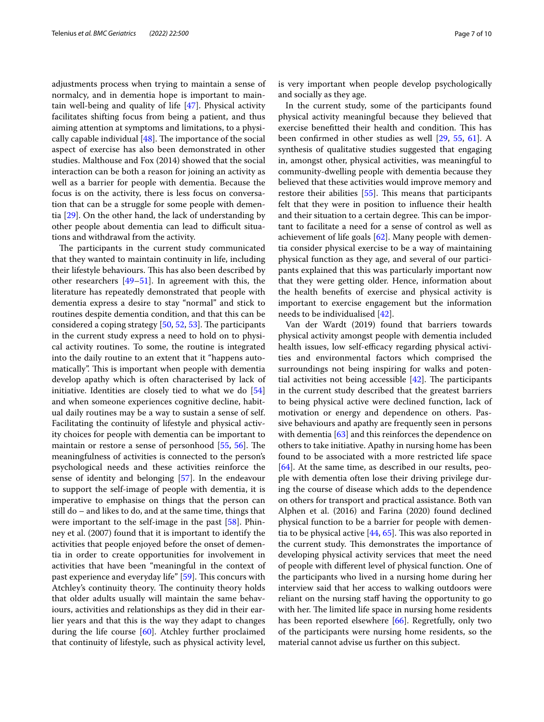adjustments process when trying to maintain a sense of normalcy, and in dementia hope is important to maintain well-being and quality of life [[47](#page-9-5)]. Physical activity facilitates shifting focus from being a patient, and thus aiming attention at symptoms and limitations, to a physically capable individual  $[48]$  $[48]$ . The importance of the social aspect of exercise has also been demonstrated in other studies. Malthouse and Fox (2014) showed that the social interaction can be both a reason for joining an activity as well as a barrier for people with dementia. Because the focus is on the activity, there is less focus on conversation that can be a struggle for some people with dementia [\[29\]](#page-8-23). On the other hand, the lack of understanding by other people about dementia can lead to difficult situations and withdrawal from the activity.

The participants in the current study communicated that they wanted to maintain continuity in life, including their lifestyle behaviours. This has also been described by other researchers [\[49–](#page-9-7)[51\]](#page-9-8). In agreement with this, the literature has repeatedly demonstrated that people with dementia express a desire to stay "normal" and stick to routines despite dementia condition, and that this can be considered a coping strategy  $[50, 52, 53]$  $[50, 52, 53]$  $[50, 52, 53]$  $[50, 52, 53]$  $[50, 52, 53]$ . The participants in the current study express a need to hold on to physical activity routines. To some, the routine is integrated into the daily routine to an extent that it "happens automatically". This is important when people with dementia develop apathy which is often characterised by lack of initiative. Identities are closely tied to what we do [[54](#page-9-12)] and when someone experiences cognitive decline, habitual daily routines may be a way to sustain a sense of self. Facilitating the continuity of lifestyle and physical activity choices for people with dementia can be important to maintain or restore a sense of personhood  $[55, 56]$  $[55, 56]$  $[55, 56]$  $[55, 56]$ . The meaningfulness of activities is connected to the person's psychological needs and these activities reinforce the sense of identity and belonging [\[57\]](#page-9-15). In the endeavour to support the self-image of people with dementia, it is imperative to emphasise on things that the person can still do – and likes to do, and at the same time, things that were important to the self-image in the past [\[58](#page-9-16)]. Phinney et al. (2007) found that it is important to identify the activities that people enjoyed before the onset of dementia in order to create opportunities for involvement in activities that have been "meaningful in the context of past experience and everyday life" [\[59](#page-9-17)]. This concurs with Atchley's continuity theory. The continuity theory holds that older adults usually will maintain the same behaviours, activities and relationships as they did in their earlier years and that this is the way they adapt to changes during the life course [\[60\]](#page-9-18). Atchley further proclaimed that continuity of lifestyle, such as physical activity level, is very important when people develop psychologically and socially as they age.

In the current study, some of the participants found physical activity meaningful because they believed that exercise benefitted their health and condition. This has been confrmed in other studies as well [[29](#page-8-23), [55](#page-9-13), [61](#page-9-19)]. A synthesis of qualitative studies suggested that engaging in, amongst other, physical activities, was meaningful to community-dwelling people with dementia because they believed that these activities would improve memory and restore their abilities [[55\]](#page-9-13). This means that participants felt that they were in position to infuence their health and their situation to a certain degree. This can be important to facilitate a need for a sense of control as well as achievement of life goals [[62\]](#page-9-20). Many people with dementia consider physical exercise to be a way of maintaining physical function as they age, and several of our participants explained that this was particularly important now that they were getting older. Hence, information about the health benefts of exercise and physical activity is important to exercise engagement but the information needs to be individualised [\[42](#page-9-0)].

Van der Wardt (2019) found that barriers towards physical activity amongst people with dementia included health issues, low self-efficacy regarding physical activities and environmental factors which comprised the surroundings not being inspiring for walks and potential activities not being accessible  $[42]$  $[42]$ . The participants in the current study described that the greatest barriers to being physical active were declined function, lack of motivation or energy and dependence on others. Passive behaviours and apathy are frequently seen in persons with dementia  $[63]$  $[63]$  and this reinforces the dependence on others to take initiative. Apathy in nursing home has been found to be associated with a more restricted life space [[64\]](#page-9-22). At the same time, as described in our results, people with dementia often lose their driving privilege during the course of disease which adds to the dependence on others for transport and practical assistance. Both van Alphen et al. (2016) and Farina (2020) found declined physical function to be a barrier for people with dementia to be physical active  $[44, 65]$  $[44, 65]$  $[44, 65]$ . This was also reported in the current study. This demonstrates the importance of developing physical activity services that meet the need of people with diferent level of physical function. One of the participants who lived in a nursing home during her interview said that her access to walking outdoors were reliant on the nursing staf having the opportunity to go with her. The limited life space in nursing home residents has been reported elsewhere [[66](#page-9-24)]. Regretfully, only two of the participants were nursing home residents, so the material cannot advise us further on this subject.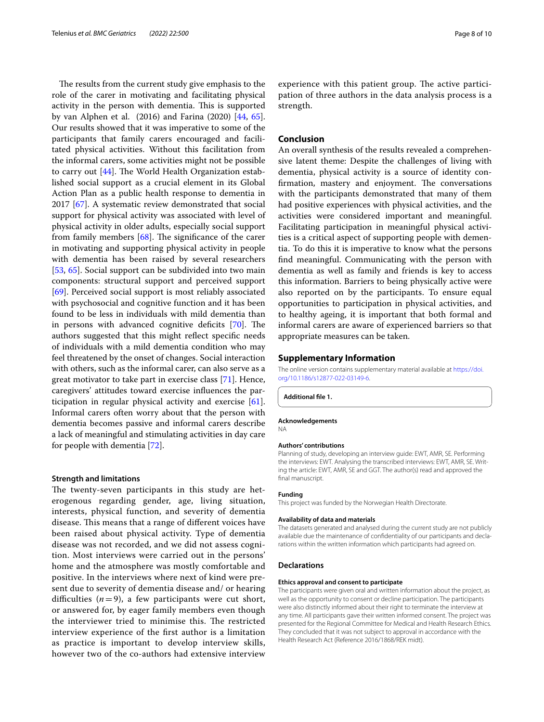The results from the current study give emphasis to the role of the carer in motivating and facilitating physical activity in the person with dementia. This is supported by van Alphen et al. (2016) and Farina (2020) [[44,](#page-9-2) [65](#page-9-23)]. Our results showed that it was imperative to some of the participants that family carers encouraged and facilitated physical activities. Without this facilitation from the informal carers, some activities might not be possible to carry out  $[44]$  $[44]$ . The World Health Organization established social support as a crucial element in its Global Action Plan as a public health response to dementia in 2017 [[67\]](#page-9-25). A systematic review demonstrated that social support for physical activity was associated with level of physical activity in older adults, especially social support from family members  $[68]$  $[68]$ . The significance of the carer in motivating and supporting physical activity in people with dementia has been raised by several researchers [[53,](#page-9-11) [65\]](#page-9-23). Social support can be subdivided into two main components: structural support and perceived support [[69\]](#page-9-27). Perceived social support is most reliably associated with psychosocial and cognitive function and it has been found to be less in individuals with mild dementia than in persons with advanced cognitive deficits  $[70]$  $[70]$ . The authors suggested that this might refect specifc needs of individuals with a mild dementia condition who may feel threatened by the onset of changes. Social interaction with others, such as the informal carer, can also serve as a great motivator to take part in exercise class [\[71](#page-9-29)]. Hence, caregivers' attitudes toward exercise infuences the participation in regular physical activity and exercise [\[61](#page-9-19)]. Informal carers often worry about that the person with dementia becomes passive and informal carers describe a lack of meaningful and stimulating activities in day care for people with dementia [[72\]](#page-9-30).

#### **Strength and limitations**

The twenty-seven participants in this study are heterogenous regarding gender, age, living situation, interests, physical function, and severity of dementia disease. This means that a range of different voices have been raised about physical activity. Type of dementia disease was not recorded, and we did not assess cognition. Most interviews were carried out in the persons' home and the atmosphere was mostly comfortable and positive. In the interviews where next of kind were present due to severity of dementia disease and/ or hearing difficulties  $(n=9)$ , a few participants were cut short, or answered for, by eager family members even though the interviewer tried to minimise this. The restricted interview experience of the frst author is a limitation as practice is important to develop interview skills, however two of the co-authors had extensive interview

experience with this patient group. The active participation of three authors in the data analysis process is a strength.

#### **Conclusion**

An overall synthesis of the results revealed a comprehensive latent theme: Despite the challenges of living with dementia, physical activity is a source of identity confirmation, mastery and enjoyment. The conversations with the participants demonstrated that many of them had positive experiences with physical activities, and the activities were considered important and meaningful. Facilitating participation in meaningful physical activities is a critical aspect of supporting people with dementia. To do this it is imperative to know what the persons fnd meaningful. Communicating with the person with dementia as well as family and friends is key to access this information. Barriers to being physically active were also reported on by the participants. To ensure equal opportunities to participation in physical activities, and to healthy ageing, it is important that both formal and informal carers are aware of experienced barriers so that appropriate measures can be taken.

#### **Supplementary Information**

The online version contains supplementary material available at [https://doi.](https://doi.org/10.1186/s12877-022-03149-6) [org/10.1186/s12877-022-03149-6](https://doi.org/10.1186/s12877-022-03149-6).

<span id="page-7-0"></span>**Additional fle 1.**

#### **Acknowledgements**

NA

#### **Authors' contributions**

Planning of study, developing an interview guide: EWT, AMR, SE. Performing the interviews: EWT. Analysing the transcribed interviews: EWT, AMR, SE. Writing the article: EWT, AMR, SE and GGT. The author(s) read and approved the final manuscript.

#### **Funding**

This project was funded by the Norwegian Health Directorate.

#### **Availability of data and materials**

The datasets generated and analysed during the current study are not publicly available due the maintenance of confdentiality of our participants and declarations within the written information which participants had agreed on.

#### **Declarations**

#### **Ethics approval and consent to participate**

The participants were given oral and written information about the project, as well as the opportunity to consent or decline participation. The participants were also distinctly informed about their right to terminate the interview at any time. All participants gave their written informed consent. The project was presented for the Regional Committee for Medical and Health Research Ethics. They concluded that it was not subject to approval in accordance with the Health Research Act (Reference 2016/1868/REK midt).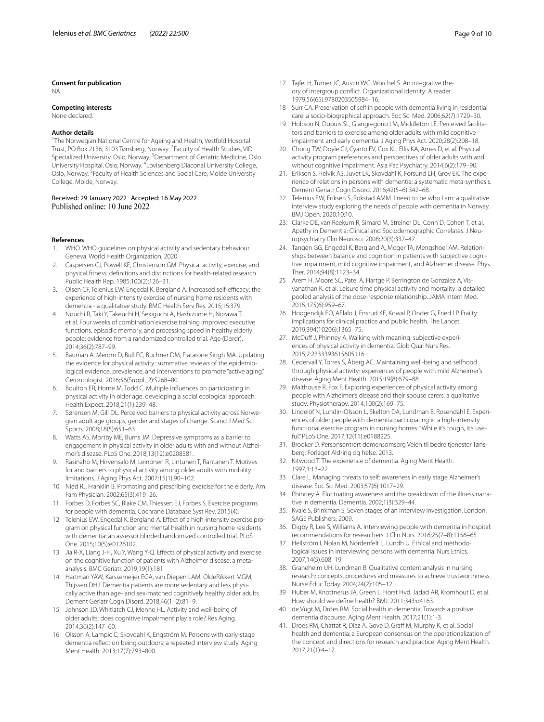#### **Consent for publication**

NA

#### **Competing interests**

#### None declared.

#### **Author details**

<sup>1</sup>The Norwegian National Centre for Ageing and Health, Vestfold Hospital Trust, PO Box 2136, 3103 Tønsberg, Norway. <sup>2</sup> Faculty of Health Studies, VID Specialized University, Oslo, Norway. <sup>3</sup>Department of Geriatric Medicine, Oslo University Hospital, Oslo, Norway. <sup>4</sup> Lovisenberg Diaconal University College, Oslo, Norway. <sup>5</sup> Faculty of Health Sciences and Social Care, Molde University College, Molde, Norway.

Received: 29 January 2022 Accepted: 16 May 2022 Published online: 10 June 2022

#### **References**

- <span id="page-8-0"></span>WHO. WHO quidelines on physical activity and sedentary behaviour. Geneva: World Health Organization; 2020.
- <span id="page-8-1"></span>2. Caspersen CJ, Powell KE, Christenson GM. Physical activity, exercise, and physical ftness: defnitions and distinctions for health-related research. Public Health Rep. 1985;100(2):126–31.
- <span id="page-8-2"></span>3. Olsen CF, Telenius EW, Engedal K, Bergland A. Increased self-efficacy: the experience of high-intensity exercise of nursing home residents with dementia - a qualitative study. BMC Health Serv Res. 2015;15:379.
- 4. Nouchi R, Taki Y, Takeuchi H, Sekiguchi A, Hashizume H, Nozawa T, et al. Four weeks of combination exercise training improved executive functions, episodic memory, and processing speed in healthy elderly people: evidence from a randomized controlled trial. Age (Dordr). 2014;36(2):787–99.
- <span id="page-8-3"></span>5. Bauman A, Merom D, Bull FC, Buchner DM, Fiatarone Singh MA. Updating the evidence for physical activity: summative reviews of the epidemiological evidence, prevalence, and interventions to promote "active aging." Gerontologist. 2016;56(Suppl\_2):S268–80.
- <span id="page-8-4"></span>6. Boulton ER, Horne M, Todd C. Multiple infuences on participating in physical activity in older age: developing a social ecological approach. Health Expect. 2018;21(1):239–48.
- <span id="page-8-5"></span>7. Sørensen M, Gill DL. Perceived barriers to physical activity across Norwegian adult age groups, gender and stages of change. Scand J Med Sci Sports. 2008;18(5):651–63.
- <span id="page-8-6"></span>8. Watts AS, Mortby ME, Burns JM. Depressive symptoms as a barrier to engagement in physical activity in older adults with and without Alzheimer's disease. PLoS One. 2018;13(12):e0208581.
- 9. Rasinaho M, Hirvensalo M, Leinonen R, Lintunen T, Rantanen T. Motives for and barriers to physical activity among older adults with mobility limitations. J Aging Phys Act. 2007;15(1):90–102.
- <span id="page-8-7"></span>10. Nied RJ, Franklin B. Promoting and prescribing exercise for the elderly. Am Fam Physician. 2002;65(3):419–26.
- <span id="page-8-8"></span>11. Forbes D, Forbes SC, Blake CM, Thiessen EJ, Forbes S. Exercise programs for people with dementia. Cochrane Database Syst Rev. 2015(4).
- 12. Telenius EW, Engedal K, Bergland A. Efect of a high-intensity exercise program on physical function and mental health in nursing home residents with dementia: an assessor blinded randomized controlled trial. PLoS One. 2015;10(5):e0126102.
- <span id="page-8-9"></span>13. Jia R-X, Liang J-H, Xu Y, Wang Y-Q. Efects of physical activity and exercise on the cognitive function of patients with Alzheimer disease: a metaanalysis. BMC Geriatr. 2019;19(1):181.
- <span id="page-8-10"></span>14. Hartman YAW, Karssemeijer EGA, van Diepen LAM, OldeRikkert MGM, Thijssen DHJ. Dementia patients are more sedentary and less physically active than age- and sex-matched cognitively healthy older adults. Dement Geriatr Cogn Disord. 2018;46(1–2):81–9.
- <span id="page-8-11"></span>15. Johnson JD, Whitlatch CJ, Menne HL. Activity and well-being of older adults: does cognitive impairment play a role? Res Aging. 2014;36(2):147–60.
- <span id="page-8-12"></span>16. Olsson A, Lampic C, Skovdahl K, Engström M. Persons with early-stage dementia refect on being outdoors: a repeated interview study. Aging Ment Health. 2013;17(7):793–800.
- <span id="page-8-13"></span>17. Tajfel H, Turner JC, Austin WG, Worchel S. An integrative theory of intergroup confict. Organizational identity: A reader. 1979;56(65):9780203505984–16.
- <span id="page-8-14"></span>18 Surr CA. Preservation of self in people with dementia living in residential care: a socio-biographical approach. Soc Sci Med. 2006;62(7):1720–30.
- <span id="page-8-15"></span>19. Hobson N, Dupuis SL, Giangregorio LM, Middleton LE. Perceived facilitators and barriers to exercise among older adults with mild cognitive impairment and early dementia. J Aging Phys Act. 2020;28(2):208–18.
- <span id="page-8-24"></span>20. Chong TW, Doyle CJ, Cyarto EV, Cox KL, Ellis KA, Ames D, et al. Physical activity program preferences and perspectives of older adults with and without cognitive impairment. Asia Pac Psychiatry. 2014;6(2):179–90.
- 21. Eriksen S, Helvik AS, Juvet LK, Skovdahl K, Forsund LH, Grov EK. The experience of relations in persons with dementia: a systematic meta-synthesis. Dement Geriatr Cogn Disord. 2016;42(5–6):342–68.
- <span id="page-8-16"></span>22. Telenius EW, Eriksen S, Rokstad AMM. I need to be who I am: a qualitative interview study exploring the needs of people with dementia in Norway. BMJ Open. 2020;10:10.
- <span id="page-8-17"></span>23. Clarke DE, van Reekum R, Simard M, Streiner DL, Conn D, Cohen T, et al. Apathy in Dementia: Clinical and Sociodemographic Correlates. J Neuropsychiatry Clin Neurosci. 2008;20(3):337–47.
- <span id="page-8-18"></span>24. Tangen GG, Engedal K, Bergland A, Moger TA, Mengshoel AM. Relationships between balance and cognition in patients with subjective cognitive impairment, mild cognitive impairment, and Alzheimer disease. Phys Ther. 2014;94(8):1123–34.
- <span id="page-8-19"></span>25 Arem H, Moore SC, Patel A, Hartge P, Berrington de Gonzalez A, Visvanathan K, et al. Leisure time physical activity and mortality: a detailed pooled analysis of the dose-response relationship. JAMA Intern Med. 2015;175(6):959–67.
- <span id="page-8-20"></span>26. Hoogendijk EO, Aflalo J, Ensrud KE, Kowal P, Onder G, Fried LP. Frailty: implications for clinical practice and public health. The Lancet. 2019;394(10206):1365–75.
- <span id="page-8-21"></span>27. McDuff J, Phinney A. Walking with meaning: subjective experiences of physical activity in dementia. Glob Qual Nurs Res. 2015;2:2333393615605116.
- <span id="page-8-22"></span>28. Cedervall Y, Torres S, Åberg AC. Maintaining well-being and selfhood through physical activity: experiences of people with mild Alzheimer's disease. Aging Ment Health. 2015;19(8):679–88.
- <span id="page-8-23"></span>29. Malthouse R, Fox F. Exploring experiences of physical activity among people with Alzheimer's disease and their spouse carers: a qualitative study. Physiotherapy. 2014;100(2):169–75.
- <span id="page-8-25"></span>30. Lindelöf N, Lundin-Olsson L, Skelton DA, Lundman B, Rosendahl E. Experiences of older people with dementia participating in a high-intensity functional exercise program in nursing homes: "While it's tough, it's useful." PLoS One. 2017;12(11):e0188225.
- <span id="page-8-26"></span>31. Brooker D. Personsentrert demensomsorg Veien til bedre tjenester Tønsberg: Forlaget Aldring og helse. 2013.
- <span id="page-8-27"></span>32. Kitwood T. The experience of dementia. Aging Ment Health. 1997;1:13–22.
- <span id="page-8-28"></span>33 Clare L. Managing threats to self: awareness in early stage Alzheimer's disease. Soc Sci Med. 2003;57(6):1017–29.
- <span id="page-8-29"></span>34. Phinney A. Fluctuating awareness and the breakdown of the illness narrative in dementia. Dementia. 2002;1(3):329–44.
- <span id="page-8-30"></span>35. Kvale S, Brinkman S. Seven stages of an interview investigation. London: SAGE Publishers; 2009.
- <span id="page-8-31"></span>36. Digby R, Lee S, Williams A. Interviewing people with dementia in hospital: recommendations for researchers. J Clin Nurs. 2016;25(7–8):1156–65.
- <span id="page-8-32"></span>37. Hellström I, Nolan M, Nordenfelt L, Lundh U. Ethical and methodological issues in interviewing persons with dementia. Nurs Ethics. 2007;14(5):608–19.
- <span id="page-8-33"></span>38. Graneheim UH, Lundman B. Qualitative content analysis in nursing research: concepts, procedures and measures to achieve trustworthiness. Nurse Educ Today. 2004;24(2):105–12.
- <span id="page-8-34"></span>39 Huber M, Knottnerus JA, Green L, Horst Hvd, Jadad AR, Kromhout D, et al. How should we defne health? BMJ. 2011;343:d4163.
- <span id="page-8-35"></span>40. de Vugt M, Dröes RM. Social health in dementia. Towards a positive dementia discourse. Aging Ment Health. 2017;21(1):1-3.
- <span id="page-8-36"></span>41. Droes RM, Chattat R, Diaz A, Gove D, Graff M, Murphy K, et al. Social health and dementia: a European consensus on the operationalization of the concept and directions for research and practice. Aging Ment Health. 2017;21(1):4–17.